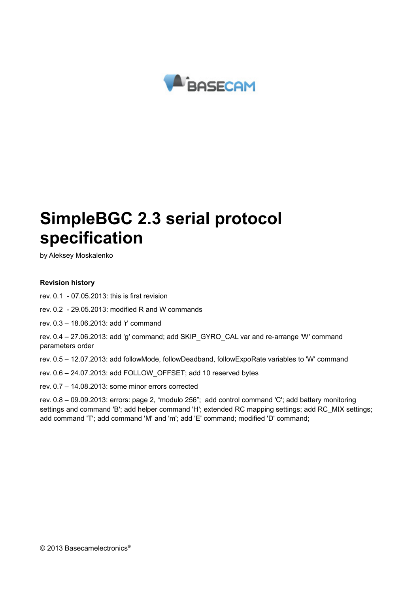

# **SimpleBGC 2.3 serial protocol specification**

by Aleksey Moskalenko

#### **Revision history**

- rev. 0.1 07.05.2013: this is first revision
- rev. 0.2 29.05.2013: modified R and W commands
- rev. 0.3 18.06.2013: add 'r' command
- rev. 0.4 27.06.2013: add 'g' command; add SKIP\_GYRO\_CAL var and re-arrange 'W' command parameters order
- rev. 0.5 12.07.2013: add followMode, followDeadband, followExpoRate variables to 'W' command
- rev. 0.6 24.07.2013: add FOLLOW\_OFFSET; add 10 reserved bytes
- rev. 0.7 14.08.2013: some minor errors corrected

rev. 0.8 – 09.09.2013: errors: page 2, "modulo 256"; add control command 'C'; add battery monitoring settings and command 'B'; add helper command 'H'; extended RC mapping settings; add RC\_MIX settings; add command 'T'; add command 'M' and 'm'; add 'E' command; modified 'D' command;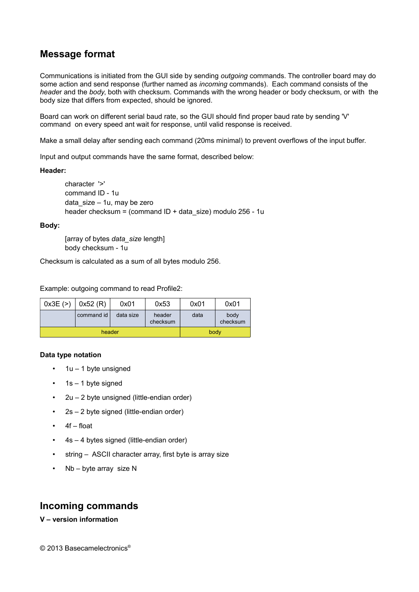## **Message format**

Communications is initiated from the GUI side by sending *outgoing* commands. The controller board may do some action and send response (further named as *incoming* commands). Each command consists of the *heade*r and the *body*, both with checksum. Commands with the wrong header or body checksum, or with the body size that differs from expected, should be ignored.

Board can work on different serial baud rate, so the GUI should find proper baud rate by sending 'V' command on every speed ant wait for response, until valid response is received.

Make a small delay after sending each command (20ms minimal) to prevent overflows of the input buffer.

Input and output commands have the same format, described below:

#### **Header:**

character '>' command ID - 1u data\_size – 1u, may be zero header checksum = (command ID + data\_size) modulo 256 - 1u

#### **Body:**

[array of bytes *data\_size* length] body checksum - 1u

Checksum is calculated as a sum of all bytes modulo 256.

Example: outgoing command to read Profile2:

| 0x3E(>) | 0x52(R)    | 0x01      | 0x53               | 0x01 | 0x01             |
|---------|------------|-----------|--------------------|------|------------------|
|         | command id | data size | header<br>checksum | data | body<br>checksum |
|         | header     |           | body               |      |                  |

#### **Data type notation**

- $\cdot$  1u 1 byte unsigned
- 1s 1 byte signed
- 2u 2 byte unsigned (little-endian order)
- 2s 2 byte signed (little-endian order)
- 4f float
- 4s 4 bytes signed (little-endian order)
- string ASCII character array, first byte is array size
- Nb byte array size N

## **Incoming commands**

#### **V – version information**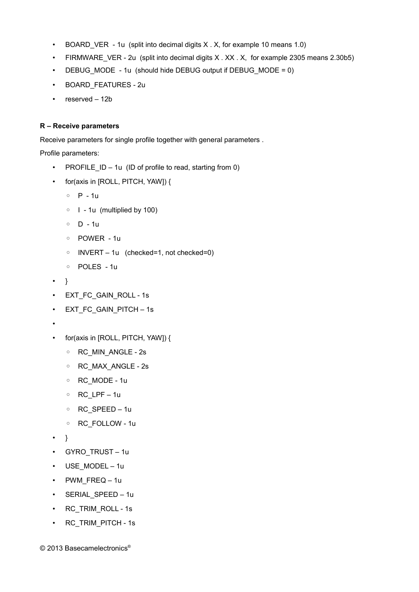- BOARD VER 1u (split into decimal digits X . X, for example 10 means 1.0)
- FIRMWARE VER 2u (split into decimal digits X.XX.X, for example 2305 means 2.30b5)
- DEBUG MODE 1u (should hide DEBUG output if DEBUG MODE = 0)
- BOARD\_FEATURES 2u
- reserved 12b

#### **R – Receive parameters**

Receive parameters for single profile together with general parameters .

Profile parameters:

- PROFILE  $ID 1u$  (ID of profile to read, starting from 0)
- for(axis in [ROLL, PITCH, YAW]) {
	- P 1u
	- I 1u (multiplied by 100)
	- D 1u
	- POWER 1u
	- INVERT 1u (checked=1, not checked=0)
	- POLES 1u
- }
- EXT\_FC\_GAIN\_ROLL 1s
- EXT\_FC\_GAIN\_PITCH 1s
- •
- for(axis in [ROLL, PITCH, YAW]) {
	- RC\_MIN\_ANGLE 2s
	- RC\_MAX\_ANGLE 2s
	- RC\_MODE 1u
	- RC\_LPF 1u
	- RC\_SPEED 1u
	- RC\_FOLLOW 1u
- }
- GYRO TRUST 1u
- USE MODEL 1u
- PWM\_FREQ 1u
- SERIAL\_SPEED 1u
- RC\_TRIM\_ROLL 1s
- RC\_TRIM\_PITCH 1s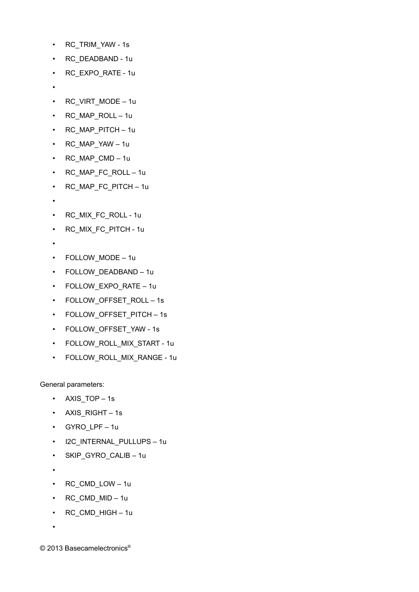- RC\_TRIM\_YAW 1s
- RC\_DEADBAND 1u
- RC\_EXPO\_RATE 1u
- •
- RC\_VIRT\_MODE 1u
- RC\_MAP\_ROLL 1u
- RC\_MAP\_PITCH 1u
- RC\_MAP\_YAW 1u
- RC\_MAP\_CMD 1u
- RC\_MAP\_FC\_ROLL 1u
- RC MAP FC PITCH 1u
- •
- RC\_MIX\_FC\_ROLL 1u
- RC\_MIX\_FC\_PITCH 1u
- •
- FOLLOW\_MODE 1u
- FOLLOW\_DEADBAND 1u
- FOLLOW\_EXPO\_RATE 1u
- FOLLOW OFFSET ROLL 1s
- FOLLOW OFFSET PITCH 1s
- FOLLOW\_OFFSET\_YAW 1s
- FOLLOW ROLL MIX START 1u
- FOLLOW ROLL MIX RANGE 1u

General parameters:

- AXIS\_TOP 1s
- AXIS RIGHT 1s
- GYRO\_LPF 1u
- I2C\_INTERNAL\_PULLUPS 1u
- SKIP GYRO CALIB 1u
- •
- RC\_CMD\_LOW 1u
- RC\_CMD\_MID 1u
- RC\_CMD\_HIGH 1u
- •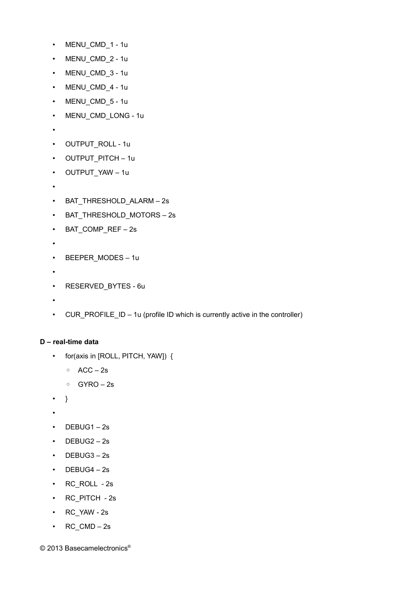- MENU CMD 1 1u
- MENU CMD 2 1u
- MENU CMD 3 1u
- MENU\_CMD\_4 1u
- MENU\_CMD\_5 1u
- MENU CMD LONG 1u
- •
- OUTPUT\_ROLL 1u
- OUTPUT PITCH 1u
- OUTPUT\_YAW 1u
- •
- BAT\_THRESHOLD\_ALARM 2s
- BAT\_THRESHOLD\_MOTORS 2s
- BAT\_COMP\_REF 2s
- •
- BEEPER MODES 1u
- •
- RESERVED\_BYTES 6u
- •
- CUR\_PROFILE\_ID 1u (profile ID which is currently active in the controller)

#### **D – real-time data**

- for(axis in [ROLL, PITCH, YAW]) {
	- ACC 2s
	- GYRO 2s
- }
- •
- DEBUG1 2s
- DEBUG2 2s
- DEBUG3 2s
- DEBUG4 2s
- RC\_ROLL 2s
- RC\_PITCH 2s
- RC\_YAW 2s
- $\cdot$  RC\_CMD 2s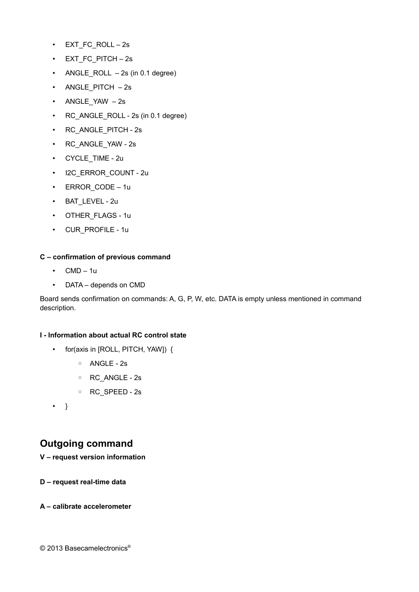- EXT\_FC\_ROLL 2s
- EXT\_FC\_PITCH 2s
- ANGLE ROLL  $-2s$  (in 0.1 degree)
- ANGLE PITCH 2s
- ANGLE\_YAW 2s
- RC\_ANGLE\_ROLL 2s (in 0.1 degree)
- RC\_ANGLE\_PITCH 2s
- RC\_ANGLE\_YAW 2s
- CYCLE TIME 2u
- I2C\_ERROR\_COUNT 2u
- ERROR CODE 1u
- BAT\_LEVEL 2u
- OTHER FLAGS 1u
- CUR\_PROFILE 1u

#### **C – confirmation of previous command**

- $\cdot$  CMD 1u
- DATA depends on CMD

Board sends confirmation on commands: A, G, P, W, etc. DATA is empty unless mentioned in command description.

#### **I - Information about actual RC control state**

- for(axis in [ROLL, PITCH, YAW]) {
	- ANGLE 2s
	- RC\_ANGLE 2s
	- RC\_SPEED 2s
- }

## **Outgoing command**

#### **V – request version information**

**D – request real-time data**

#### **A – calibrate accelerometer**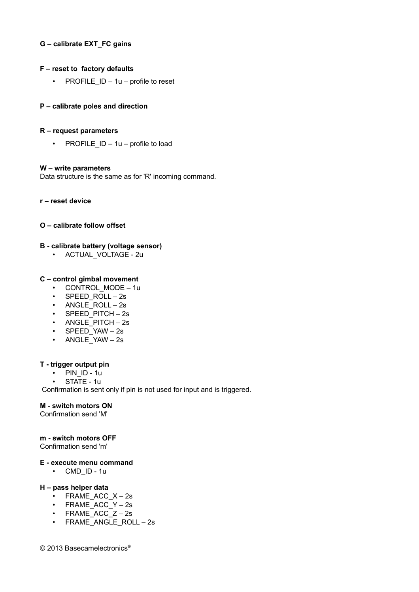#### **G – calibrate EXT\_FC gains**

#### **F – reset to factory defaults**

• PROFILE  $ID - 1u - profile to reset$ 

#### **P – calibrate poles and direction**

#### **R – request parameters**

• PROFILE  $ID - 1u - profile to load$ 

#### **W – write parameters**

Data structure is the same as for 'R' incoming command.

**r – reset device**

#### **O – calibrate follow offset**

#### **B - calibrate battery (voltage sensor)**

• ACTUAL\_VOLTAGE - 2u

#### **C – control gimbal movement**

- CONTROL MODE 1u
- SPEED ROLL 2s
- ANGLE ROLL 2s
- SPEED PITCH 2s
- ANGLE PITCH 2s
- SPEED\_YAW 2s
- ANGLE\_YAW 2s

#### **T - trigger output pin**

- PIN ID 1u
- STATE 1u

Confirmation is sent only if pin is not used for input and is triggered.

#### **M - switch motors ON**

Confirmation send 'M'

#### **m - switch motors OFF**

Confirmation send 'm'

#### **E - execute menu command**

• CMD\_ID - 1u

#### **H – pass helper data**

- FRAME ACC  $X 2s$
- FRAME\_ACC\_Y 2s
- FRAME ACC  $Z 2s$
- FRAME ANGLE ROLL 2s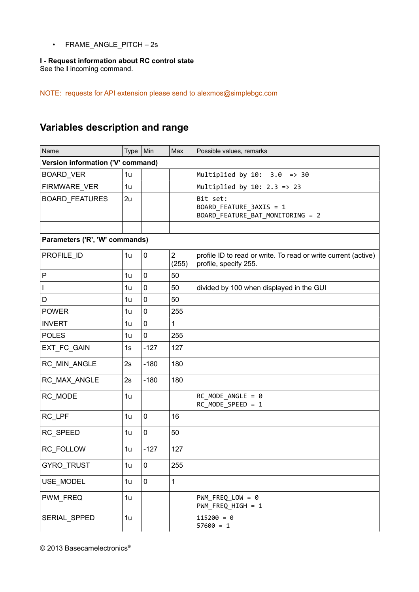• FRAME\_ANGLE\_PITCH – 2s

#### **I - Request information about RC control state**

See the **I** incoming command.

NOTE: requests for API extension please send to [alexmos@simplebgc.com](mailto:alexmos@simplebgc.com)

# **Variables description and range**

| Name                              | Type | Min         | Max                     | Possible values, remarks                                                                |
|-----------------------------------|------|-------------|-------------------------|-----------------------------------------------------------------------------------------|
| Version information ('V' command) |      |             |                         |                                                                                         |
| <b>BOARD_VER</b>                  | 1u   |             |                         | Multiplied by $10: 3.0 \Rightarrow 30$                                                  |
| FIRMWARE_VER                      | 1u   |             |                         | Multiplied by $10: 2.3 \Rightarrow 23$                                                  |
| <b>BOARD_FEATURES</b>             | 2u   |             |                         | Bit set:<br>BOARD_FEATURE_3AXIS = 1<br>BOARD_FEATURE_BAT_MONITORING = 2                 |
| Parameters ('R', 'W' commands)    |      |             |                         |                                                                                         |
| PROFILE_ID                        | 1u   | $\mathbf 0$ | $\overline{2}$<br>(255) | profile ID to read or write. To read or write current (active)<br>profile, specify 255. |
| $\mathsf{P}$                      | 1u   | $\mathbf 0$ | 50                      |                                                                                         |
| $\mathbf{I}$                      | 1u   | $\mathbf 0$ | 50                      | divided by 100 when displayed in the GUI                                                |
| D                                 | 1u   | $\mathbf 0$ | 50                      |                                                                                         |
| <b>POWER</b>                      | 1u   | $\mathbf 0$ | 255                     |                                                                                         |
| <b>INVERT</b>                     | 1u   | $\mathbf 0$ | $\mathbf{1}$            |                                                                                         |
| <b>POLES</b>                      | 1u   | $\mathbf 0$ | 255                     |                                                                                         |
| EXT_FC_GAIN                       | 1s   | $-127$      | 127                     |                                                                                         |
| RC_MIN_ANGLE                      | 2s   | $-180$      | 180                     |                                                                                         |
| RC_MAX_ANGLE                      | 2s   | $-180$      | 180                     |                                                                                         |
| RC_MODE                           | 1u   |             |                         | $RC_MODE_MGLE = 0$<br>RC_MODE_SPEED = 1                                                 |
| RC_LPF                            | 1u   | $\mathbf 0$ | 16                      |                                                                                         |
| RC_SPEED                          | 1u   | $\mathbf 0$ | 50                      |                                                                                         |
| RC_FOLLOW                         | 1u   | $-127$      | 127                     |                                                                                         |
| GYRO_TRUST                        | 1u   | $\pmb{0}$   | 255                     |                                                                                         |
| USE_MODEL                         | 1u   | $\mathbf 0$ | $\mathbf{1}$            |                                                                                         |
| PWM_FREQ                          | 1u   |             |                         | $PWM_FREG_LOW = 0$<br>PWM_FREQ_HIGH = 1                                                 |
| SERIAL_SPPED                      | 1u   |             |                         | $115200 = 0$<br>$57600 = 1$                                                             |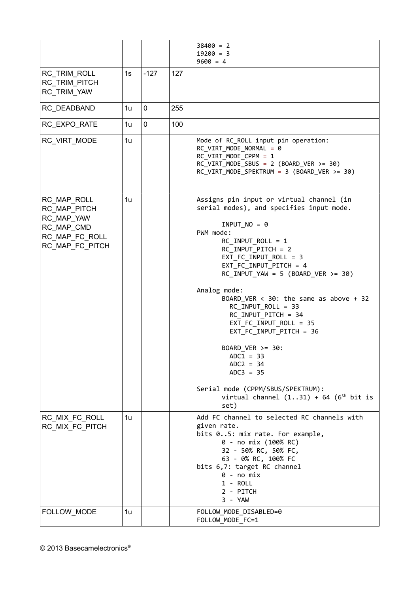|                                                                                              |                |        |     | $38400 = 2$<br>$19200 = 3$<br>$9600 = 4$                                                                                                                                                                                                                                                                                                                                                                                                                                                                                                                                                         |
|----------------------------------------------------------------------------------------------|----------------|--------|-----|--------------------------------------------------------------------------------------------------------------------------------------------------------------------------------------------------------------------------------------------------------------------------------------------------------------------------------------------------------------------------------------------------------------------------------------------------------------------------------------------------------------------------------------------------------------------------------------------------|
| RC_TRIM_ROLL<br>RC TRIM_PITCH<br>RC_TRIM_YAW                                                 | 1s             | $-127$ | 127 |                                                                                                                                                                                                                                                                                                                                                                                                                                                                                                                                                                                                  |
| RC_DEADBAND                                                                                  | 1u             | 0      | 255 |                                                                                                                                                                                                                                                                                                                                                                                                                                                                                                                                                                                                  |
| RC EXPO RATE                                                                                 | 1u             | 0      | 100 |                                                                                                                                                                                                                                                                                                                                                                                                                                                                                                                                                                                                  |
| RC VIRT MODE                                                                                 | 1u             |        |     | Mode of RC_ROLL input pin operation:<br>RC_VIRT_MODE_NORMAL = 0<br>RC_VIRT_MODE_CPPM = 1<br>$RC_VIRT_MODE_SBUS = 2 (BOARD_VER >= 30)$<br>$RC_VIRT_MODE_SPEKTRUM = 3 (BOARD_VER >= 30)$                                                                                                                                                                                                                                                                                                                                                                                                           |
| RC_MAP_ROLL<br>RC_MAP_PITCH<br>RC_MAP_YAW<br>RC MAP CMD<br>RC_MAP_FC_ROLL<br>RC_MAP_FC_PITCH | 1u             |        |     | Assigns pin input or virtual channel (in<br>serial modes), and specifies input mode.<br>$INPUTNO = 0$<br>PWM mode:<br>$RC_$ INPUT_ROLL = 1<br>RC_INPUT_PITCH = 2<br>$EXT$ FC_INPUT_ROLL = 3<br>EXT_FC_INPUT_PITCH = 4<br>$RC\_INPUT_YAW = 5 (BOARD_VER >= 30)$<br>Analog mode:<br>BOARD_VER $\langle$ 30: the same as above + 32<br>RC_INPUT_ROLL = 33<br>RC_INPUT_PITCH = 34<br>EXT_FC_INPUT_ROLL = 35<br>EXT_FC_INPUT_PITCH = 36<br>BOARD VER $>=$ 30:<br>$ADC1 = 33$<br>$ADC = 34$<br>$ADC3 = 35$<br>Serial mode (CPPM/SBUS/SPEKTRUM):<br>virtual channel $(131) + 64$ ( $6th$ bit is<br>set) |
| RC_MIX_FC_ROLL<br>RC_MIX_FC_PITCH                                                            | 1 <sub>u</sub> |        |     | Add FC channel to selected RC channels with<br>given rate.<br>bits 05: mix rate. For example,<br>0 - no mix (100% RC)<br>32 - 50% RC, 50% FC,<br>63 - 0% RC, 100% FC<br>bits 6,7: target RC channel<br>$0 - no mix$<br>$1 - ROLL$<br>2 - PITCH<br>3 - YAW                                                                                                                                                                                                                                                                                                                                        |
| FOLLOW_MODE                                                                                  | 1u             |        |     | FOLLOW_MODE_DISABLED=0<br>FOLLOW_MODE_FC=1                                                                                                                                                                                                                                                                                                                                                                                                                                                                                                                                                       |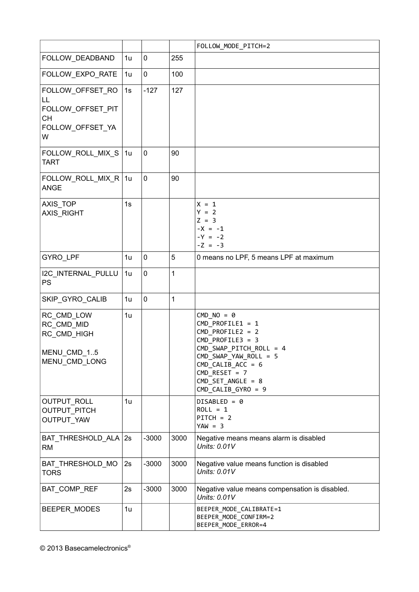|                                                                         |    |                |      | FOLLOW_MODE_PITCH=2                                                                                                                                                                                                             |
|-------------------------------------------------------------------------|----|----------------|------|---------------------------------------------------------------------------------------------------------------------------------------------------------------------------------------------------------------------------------|
| FOLLOW_DEADBAND                                                         | 1u | $\pmb{0}$      | 255  |                                                                                                                                                                                                                                 |
| FOLLOW_EXPO_RATE                                                        | 1u | $\mathbf 0$    | 100  |                                                                                                                                                                                                                                 |
| FOLLOW_OFFSET_RO                                                        | 1s | $-127$         | 127  |                                                                                                                                                                                                                                 |
| LL<br>FOLLOW_OFFSET_PIT<br><b>CH</b><br>FOLLOW_OFFSET_YA<br>W           |    |                |      |                                                                                                                                                                                                                                 |
| FOLLOW_ROLL_MIX_S<br><b>TART</b>                                        | 1u | $\mathbf 0$    | 90   |                                                                                                                                                                                                                                 |
| FOLLOW_ROLL_MIX_R   1u<br><b>ANGE</b>                                   |    | $\overline{0}$ | 90   |                                                                                                                                                                                                                                 |
| AXIS_TOP<br>AXIS_RIGHT                                                  | 1s |                |      | $X = 1$<br>$Y = 2$<br>$Z = 3$<br>$-X = -1$<br>$-Y = -2$<br>$-Z = -3$                                                                                                                                                            |
| GYRO_LPF                                                                | 1u | $\mathbf 0$    | 5    | 0 means no LPF, 5 means LPF at maximum                                                                                                                                                                                          |
| I2C_INTERNAL_PULLU<br>PS                                                | 1u | $\mathbf 0$    | 1    |                                                                                                                                                                                                                                 |
| SKIP_GYRO_CALIB                                                         | 1u | $\mathbf 0$    | 1    |                                                                                                                                                                                                                                 |
| RC_CMD_LOW<br>RC CMD MID<br>RC_CMD_HIGH<br>MENU_CMD_15<br>MENU_CMD_LONG | 1u |                |      | $CMD NO = 0$<br>$CMD$ PROFILE1 = 1<br>$CMD_PROFILE2 = 2$<br>$CMD_PROFILE3 = 3$<br>CMD_SWAP_PITCH_ROLL = 4<br>$CMD$ SWAP YAW ROLL = 5<br>$CMD_CALIB_ACC = 6$<br>$CMD$ RESET = 7<br>$CMD\_SET\_ANGLE = 8$<br>$CMD_CALIB_GYRO = 9$ |
| OUTPUT_ROLL<br><b>OUTPUT PITCH</b><br><b>OUTPUT YAW</b>                 | 1u |                |      | $DISABLED = 0$<br>$ROLL = 1$<br>$PITCH = 2$<br>$YAW = 3$                                                                                                                                                                        |
| BAT_THRESHOLD_ALA<br><b>RM</b>                                          | 2s | $-3000$        | 3000 | Negative means means alarm is disabled<br>Units: 0.01V                                                                                                                                                                          |
| BAT_THRESHOLD_MO<br><b>TORS</b>                                         | 2s | $-3000$        | 3000 | Negative value means function is disabled<br>Units: 0.01V                                                                                                                                                                       |
| BAT_COMP_REF                                                            | 2s | $-3000$        | 3000 | Negative value means compensation is disabled.<br>Units: 0.01V                                                                                                                                                                  |
| BEEPER_MODES                                                            | 1u |                |      | BEEPER MODE CALIBRATE=1<br>BEEPER_MODE_CONFIRM=2<br>BEEPER_MODE_ERROR=4                                                                                                                                                         |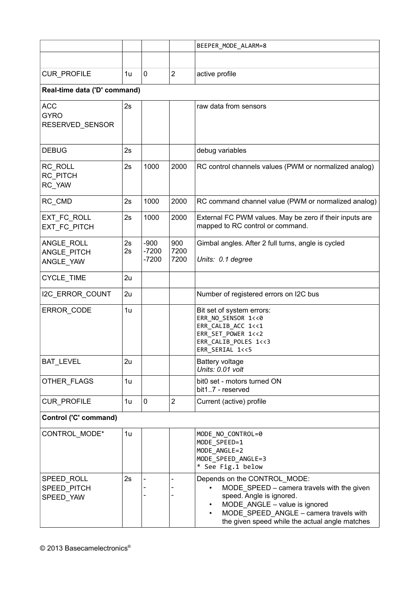|                                              |          |                              |                     | BEEPER MODE ALARM=8                                                                                                                                                                                                                                           |  |
|----------------------------------------------|----------|------------------------------|---------------------|---------------------------------------------------------------------------------------------------------------------------------------------------------------------------------------------------------------------------------------------------------------|--|
|                                              |          |                              |                     |                                                                                                                                                                                                                                                               |  |
| CUR_PROFILE                                  | 1u       | 0                            | $\overline{2}$      | active profile                                                                                                                                                                                                                                                |  |
| Real-time data ('D' command)                 |          |                              |                     |                                                                                                                                                                                                                                                               |  |
| <b>ACC</b><br><b>GYRO</b><br>RESERVED_SENSOR | 2s       |                              |                     | raw data from sensors                                                                                                                                                                                                                                         |  |
| <b>DEBUG</b>                                 | 2s       |                              |                     | debug variables                                                                                                                                                                                                                                               |  |
| RC ROLL<br>RC PITCH<br>RC_YAW                | 2s       | 1000                         | 2000                | RC control channels values (PWM or normalized analog)                                                                                                                                                                                                         |  |
| RC CMD                                       | 2s       | 1000                         | 2000                | RC command channel value (PWM or normalized analog)                                                                                                                                                                                                           |  |
| EXT FC ROLL<br>EXT FC PITCH                  | 2s       | 1000                         | 2000                | External FC PWM values. May be zero if their inputs are<br>mapped to RC control or command.                                                                                                                                                                   |  |
| ANGLE_ROLL<br>ANGLE_PITCH<br>ANGLE_YAW       | 2s<br>2s | $-900$<br>$-7200$<br>$-7200$ | 900<br>7200<br>7200 | Gimbal angles. After 2 full turns, angle is cycled<br>Units: 0.1 degree                                                                                                                                                                                       |  |
| CYCLE_TIME                                   | 2u       |                              |                     |                                                                                                                                                                                                                                                               |  |
| I2C_ERROR_COUNT                              | 2u       |                              |                     | Number of registered errors on I2C bus                                                                                                                                                                                                                        |  |
| ERROR_CODE                                   | 1u       |                              |                     | Bit set of system errors:<br>ERR NO SENSOR 1<<0<br>ERR CALIB ACC 1<<1<br>ERR SET POWER 1<<2<br>ERR CALIB POLES 1<<3<br>ERR_SERIAL 1<<5                                                                                                                        |  |
| BAT_LEVEL                                    | 2u       |                              |                     | <b>Battery voltage</b><br>Units: 0.01 volt                                                                                                                                                                                                                    |  |
| OTHER FLAGS                                  | 1u       |                              |                     | bit0 set - motors turned ON<br>bit17 - reserved                                                                                                                                                                                                               |  |
| CUR_PROFILE                                  | 1u       | 0                            | $\overline{2}$      | Current (active) profile                                                                                                                                                                                                                                      |  |
| Control ('C' command)                        |          |                              |                     |                                                                                                                                                                                                                                                               |  |
| CONTROL_MODE*                                | 1u       |                              |                     | MODE NO CONTROL=0<br>MODE SPEED=1<br>MODE ANGLE=2<br>MODE_SPEED_ANGLE=3<br>* See Fig.1 below                                                                                                                                                                  |  |
| SPEED_ROLL<br>SPEED PITCH<br>SPEED YAW       | 2s       |                              |                     | Depends on the CONTROL_MODE:<br>MODE SPEED - camera travels with the given<br>speed. Angle is ignored.<br>MODE ANGLE - value is ignored<br>$\bullet$<br>MODE SPEED ANGLE - camera travels with<br>$\bullet$<br>the given speed while the actual angle matches |  |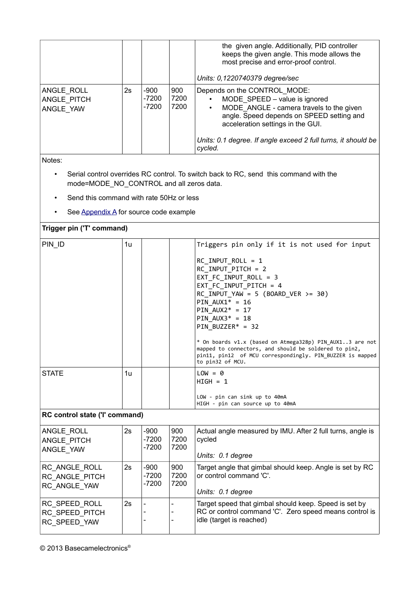|                                        |    |                              |                     | the given angle. Additionally, PID controller<br>keeps the given angle. This mode allows the<br>most precise and error-proof control.<br>Units: 0,1220740379 degree/sec                                                                                                                           |
|----------------------------------------|----|------------------------------|---------------------|---------------------------------------------------------------------------------------------------------------------------------------------------------------------------------------------------------------------------------------------------------------------------------------------------|
| ANGLE ROLL<br>ANGLE PITCH<br>ANGLE YAW | 2s | $-900$<br>$-7200$<br>$-7200$ | 900<br>7200<br>7200 | Depends on the CONTROL_MODE:<br>MODE SPEED - value is ignored<br>$\bullet$<br>MODE_ANGLE - camera travels to the given<br>$\bullet$<br>angle. Speed depends on SPEED setting and<br>acceleration settings in the GUI.<br>Units: 0.1 degree. If angle exceed 2 full turns, it should be<br>cycled. |

Notes:

- Serial control overrides RC control. To switch back to RC, send this command with the mode=MODE\_NO\_CONTROL and all zeros data.
- Send this command with rate 50Hz or less
- See Appendix A for source code example

#### **Trigger pin ('T' command)**

| PIN ID                                          | 1u |                              |                     | Triggers pin only if it is not used for input<br>RC INPUT ROLL = 1<br>RC INPUT PITCH = 2<br>EXT FC INPUT ROLL = 3<br>EXT FC INPUT PITCH = 4<br>$RC_$ INPUT_YAW = 5 (BOARD_VER >= 30)<br>PIN $AUX1* = 16$<br>PIN $AUX2* = 17$<br>PIN $AUX3* = 18$<br>$PIN_BUZZER* = 32$<br>* On boards v1.x (based on Atmega328p) PIN_AUX13 are not<br>mapped to connectors, and should be soldered to pin2,<br>pin11, pin12 of MCU correspondingly. PIN BUZZER is mapped |
|-------------------------------------------------|----|------------------------------|---------------------|----------------------------------------------------------------------------------------------------------------------------------------------------------------------------------------------------------------------------------------------------------------------------------------------------------------------------------------------------------------------------------------------------------------------------------------------------------|
|                                                 |    |                              |                     | to pin32 of MCU.                                                                                                                                                                                                                                                                                                                                                                                                                                         |
| <b>STATE</b>                                    | 1u |                              |                     | $LOW = 0$<br>$HIGH = 1$<br>LOW - pin can sink up to 40mA<br>HIGH - pin can source up to 40mA                                                                                                                                                                                                                                                                                                                                                             |
| RC control state ('I' command)                  |    |                              |                     |                                                                                                                                                                                                                                                                                                                                                                                                                                                          |
| ANGLE ROLL<br>ANGLE PITCH<br>ANGLE YAW          | 2s | $-900$<br>$-7200$<br>$-7200$ | 900<br>7200<br>7200 | Actual angle measured by IMU. After 2 full turns, angle is<br>cycled<br>Units: 0.1 degree                                                                                                                                                                                                                                                                                                                                                                |
| RC_ANGLE_ROLL<br>RC ANGLE PITCH<br>RC_ANGLE_YAW | 2s | $-900$<br>$-7200$<br>$-7200$ | 900<br>7200<br>7200 | Target angle that gimbal should keep. Angle is set by RC<br>or control command 'C'.<br>Units: 0.1 degree                                                                                                                                                                                                                                                                                                                                                 |
| RC_SPEED_ROLL<br>RC_SPEED_PITCH<br>RC_SPEED_YAW | 2s |                              | $\qquad \qquad -$   | Target speed that gimbal should keep. Speed is set by<br>RC or control command 'C'. Zero speed means control is<br>idle (target is reached)                                                                                                                                                                                                                                                                                                              |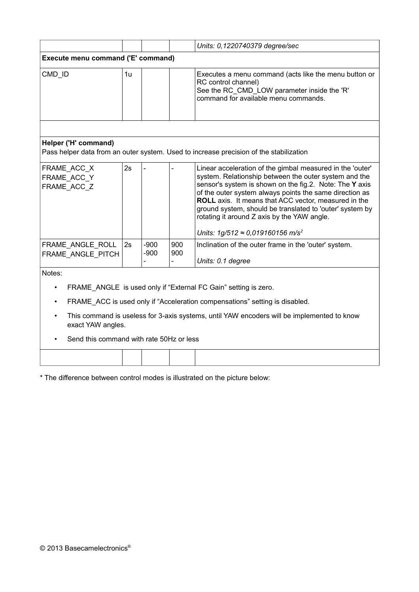|                                                                                                                 |    |                  |            | Units: 0,1220740379 degree/sec                                                                                                                                                                                                                                                                                                                                                                                                                                      |  |  |
|-----------------------------------------------------------------------------------------------------------------|----|------------------|------------|---------------------------------------------------------------------------------------------------------------------------------------------------------------------------------------------------------------------------------------------------------------------------------------------------------------------------------------------------------------------------------------------------------------------------------------------------------------------|--|--|
| Execute menu command ('E' command)                                                                              |    |                  |            |                                                                                                                                                                                                                                                                                                                                                                                                                                                                     |  |  |
| CMD_ID                                                                                                          | 1u |                  |            | Executes a menu command (acts like the menu button or<br>RC control channel)<br>See the RC_CMD_LOW parameter inside the 'R'<br>command for available menu commands.                                                                                                                                                                                                                                                                                                 |  |  |
|                                                                                                                 |    |                  |            |                                                                                                                                                                                                                                                                                                                                                                                                                                                                     |  |  |
| Helper ('H' command)                                                                                            |    |                  |            |                                                                                                                                                                                                                                                                                                                                                                                                                                                                     |  |  |
|                                                                                                                 |    |                  |            | Pass helper data from an outer system. Used to increase precision of the stabilization                                                                                                                                                                                                                                                                                                                                                                              |  |  |
| FRAME ACC X<br>FRAME ACC Y<br>FRAME ACC Z                                                                       | 2s |                  |            | Linear acceleration of the gimbal measured in the 'outer'<br>system. Relationship between the outer system and the<br>sensor's system is shown on the fig.2. Note: The Y axis<br>of the outer system always points the same direction as<br>ROLL axis. It means that ACC vector, measured in the<br>ground system, should be translated to 'outer' system by<br>rotating it around Z axis by the YAW angle.<br>Units: $1g/512 \approx 0.019160156$ m/s <sup>2</sup> |  |  |
| FRAME ANGLE ROLL<br>FRAME_ANGLE_PITCH                                                                           | 2s | $-900$<br>$-900$ | 900<br>900 | Inclination of the outer frame in the 'outer' system.                                                                                                                                                                                                                                                                                                                                                                                                               |  |  |
|                                                                                                                 |    |                  |            | Units: 0.1 degree                                                                                                                                                                                                                                                                                                                                                                                                                                                   |  |  |
| Notes:                                                                                                          |    |                  |            |                                                                                                                                                                                                                                                                                                                                                                                                                                                                     |  |  |
| FRAME_ANGLE is used only if "External FC Gain" setting is zero.<br>$\bullet$                                    |    |                  |            |                                                                                                                                                                                                                                                                                                                                                                                                                                                                     |  |  |
| FRAME_ACC is used only if "Acceleration compensations" setting is disabled.                                     |    |                  |            |                                                                                                                                                                                                                                                                                                                                                                                                                                                                     |  |  |
| This command is useless for 3-axis systems, until YAW encoders will be implemented to know<br>exact YAW angles. |    |                  |            |                                                                                                                                                                                                                                                                                                                                                                                                                                                                     |  |  |
| Send this command with rate 50Hz or less                                                                        |    |                  |            |                                                                                                                                                                                                                                                                                                                                                                                                                                                                     |  |  |
|                                                                                                                 |    |                  |            |                                                                                                                                                                                                                                                                                                                                                                                                                                                                     |  |  |

\* The difference between control modes is illustrated on the picture below: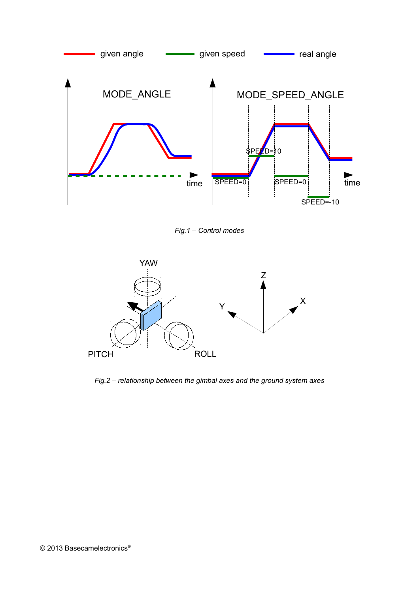

*Fig.1 – Control modes*



*Fig.2 – relationship between the gimbal axes and the ground system axes*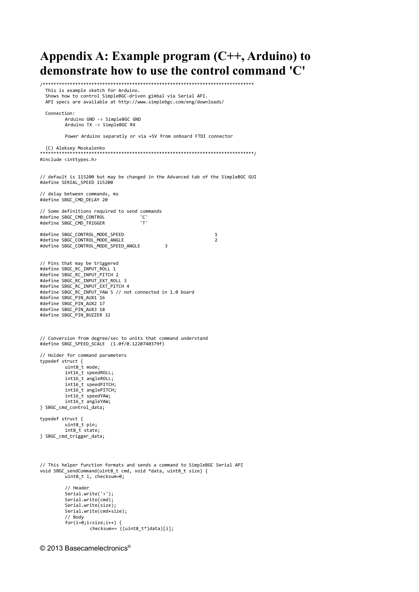**Appendix A: Example program (C++, Arduino) to demonstrate how to use the control command 'C'** /\*\*\*\*\*\*\*\*\*\*\*\*\*\*\*\*\*\*\*\*\*\*\*\*\*\*\*\*\*\*\*\*\*\*\*\*\*\*\*\*\*\*\*\*\*\*\*\*\*\*\*\*\*\*\*\*\*\*\*\*\*\*\*\*\*\*\*\*\*\*\*\*\*\*\*\*\*\* This is example sketch for Arduino. Shows how to control SimpleBGC-driven gimbal via Serial API. API specs are available at http://www.simplebgc.com/eng/downloads/ Connection: Arduino GND -> SimpleBGC GND Arduino TX -> SimpleBGC RX Power Arduino separatly or via +5V from onboard FTDI connector (C) Aleksey Moskalenko \*\*\*\*\*\*\*\*\*\*\*\*\*\*\*\*\*\*\*\*\*\*\*\*\*\*\*\*\*\*\*\*\*\*\*\*\*\*\*\*\*\*\*\*\*\*\*\*\*\*\*\*\*\*\*\*\*\*\*\*\*\*\*\*\*\*\*\*\*\*\*\*\*\*\*\*\*\*\*/ #include <inttypes.h> // default is 115200 but may be changed in the Advanced tab of the SimpleBGC GUI #define SERIAL\_SPEED 115200 // delay between commands, ms #define SBGC\_CMD\_DELAY 20 // Some definitions required to send commands #define SBGC\_CMD\_CONTROL 'C' #define SBGC\_CMD\_TRIGGER #define SBGC\_CONTROL\_MODE\_SPEED 1 #define SBGC\_CONTROL\_MODE\_ANGLE 2 #define SBGC\_CONTROL\_MODE\_SPEED\_ANGLE 3 // Pins that may be triggered #define SBGC\_RC\_INPUT\_ROLL 1 #define SBGC\_RC\_INPUT\_PITCH 2 #define SBGC\_RC\_INPUT\_EXT\_ROLL 3 #define SBGC\_RC\_INPUT\_EXT\_PITCH 4 #define SBGC\_RC\_INPUT\_YAW 5 // not connected in 1.0 board #define SBGC\_PIN\_AUX1 16 #define SBGC\_PIN\_AUX2 17 #define SBGC\_PIN\_AUX3 18 #define SBGC\_PIN\_BUZZER 32 // Conversion from degree/sec to units that command understand #define SBGC\_SPEED\_SCALE (1.0f/0.1220740379f) // Holder for command parameters typedef struct { uint8\_t mode; int16\_t speedROLL; int16\_t angleROLL; int16\_t speedPITCH; int16\_t anglePITCH; int16\_t speedYAW; int16\_t angleYAW; } SBGC\_cmd\_control\_data; typedef struct { uint8 t pin:  $int8_t \frac{1}{5} \text{state}$ ; } SBGC\_cmd\_trigger\_data; // This helper function formats and sends a command to SimpleBGC Serial API void SBGC\_sendCommand(uint8\_t cmd, void \*data, uint8\_t size) { uint8 t i, checksum=0; // Header Serial.write('>'); Serial.write(cmd); Serial.write(size); Serial.write(cmd+size); // Body  $for(i=0; i < size; i++)$  { checksum+= ((uint8\_t\*)data)[i];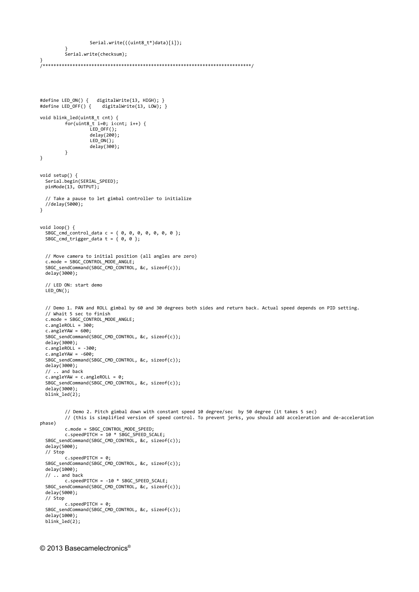```
Serial.write(((uint8_t*)data)[i]);
          }
          Serial.write(checksum);
}
/*****************************************************************************/
#define LED_ON() { digitalWrite(13, HIGH); }
#define LED_OFF() { digitalWrite(13, LOW); }
void blink_led(uint8_t cnt) {
          for(uint8_t i=0; i<cnt; i++) {
                   LED_OFF();
                   delay(200);
                  LED_ON();
                  delay(300);
         }
}
void setup() { 
   Serial.begin(SERIAL_SPEED);
   pinMode(13, OUTPUT);
   // Take a pause to let gimbal controller to initialize
 //delay(5000);
} 
void loop() { 
  S BGC\_cmd\_control\_data c = { 0, 0, 0, 0, 0, 0, 0 };
  SBGC_cmd_trigger_data t = \{ 0, 0 \};
   // Move camera to initial position (all angles are zero)
   c.mode = SBGC_CONTROL_MODE_ANGLE;
   SBGC_sendCommand(SBGC_CMD_CONTROL, &c, sizeof(c));
   delay(3000);
   // LED ON: start demo
   LED_ON();
   // Demo 1. PAN and ROLL gimbal by 60 and 30 degrees both sides and return back. Actual speed depends on PID setting.
   // Whait 5 sec to finish
   c.mode = SBGC_CONTROL_MODE_ANGLE;
  c.\nangleROLL = 300;
  c.\nangle YAW = 600; SBGC_sendCommand(SBGC_CMD_CONTROL, &c, sizeof(c));
  delay(3000); c.angleROLL = -300;
 c.angleYAW = -600;
   SBGC_sendCommand(SBGC_CMD_CONTROL, &c, sizeof(c));
   delay(3000);
   // .. and back
   c.angleYAW = c.angleROLL = 0;
  SBGC_sendCommand(SBGC_CMD_CONTROL, &c, sizeof(c));
   delay(3000);
   blink_led(2);
         // Demo 2. Pitch gimbal down with constant speed 10 degree/sec by 50 degree (it takes 5 sec)
         // (this is simplified version of speed control. To prevent jerks, you should add acceleration and de-acceleration
phase)
          c.mode = SBGC_CONTROL_MODE_SPEED;
          c.speedPITCH = 10 * SBGC_SPEED_SCALE;
 SBGC_sendCommand(SBGC_CMD_CONTROL, &c, sizeof(c));
   delay(5000);
   // Stop
         c.speedPITCH = 0;
   SBGC_sendCommand(SBGC_CMD_CONTROL, &c, sizeof(c));
   delay(1000);
   // .. and back
          c.speedPITCH = -10 * SBGC_SPEED_SCALE;
 SBGC_sendCommand(SBGC_CMD_CONTROL, &c, sizeof(c));
   delay(5000);
   // Stop
        \epsilon.speedPITCH = 0:
   SBGC_sendCommand(SBGC_CMD_CONTROL, &c, sizeof(c));
   delay(1000);
  blink led(2);
```